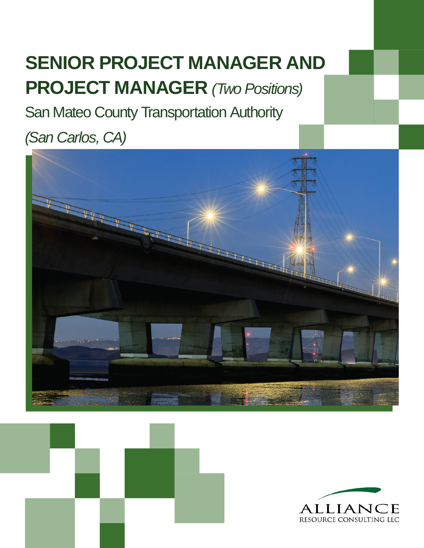# **SENIOR PROJECT MANAGER AND PROJECT MANAGER** *(Two Positions)*

San Mateo County Transportation Authority

## *(San Carlos, CA)*





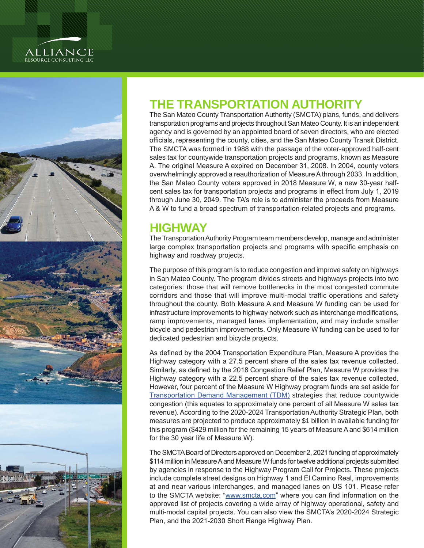



### **THE TRANSPORTATION AUTHORITY**

The San Mateo County Transportation Authority (SMCTA) plans, funds, and delivers transportation programs and projects throughout San Mateo County. It is an independent agency and is governed by an appointed board of seven directors, who are elected officials, representing the county, cities, and the San Mateo County Transit District. The SMCTA was formed in 1988 with the passage of the voter-approved half-cent sales tax for countywide transportation projects and programs, known as Measure A. The original Measure A expired on December 31, 2008. In 2004, county voters overwhelmingly approved a reauthorization of Measure A through 2033. In addition, the San Mateo County voters approved in 2018 Measure W, a new 30-year halfcent sales tax for transportation projects and programs in effect from July 1, 2019 through June 30, 2049. The TA's role is to administer the proceeds from Measure A & W to fund a broad spectrum of transportation-related projects and programs.

### **HIGHWAY**

The Transportation Authority Program team members develop, manage and administer large complex transportation projects and programs with specific emphasis on highway and roadway projects.

The purpose of this program is to reduce congestion and improve safety on highways in San Mateo County. The program divides streets and highways projects into two categories: those that will remove bottlenecks in the most congested commute corridors and those that will improve multi-modal traffic operations and safety throughout the county. Both Measure A and Measure W funding can be used for infrastructure improvements to highway network such as interchange modifications, ramp improvements, managed lanes implementation, and may include smaller bicycle and pedestrian improvements. Only Measure W funding can be used to for dedicated pedestrian and bicycle projects.

As defined by the 2004 Transportation Expenditure Plan, Measure A provides the Highway category with a 27.5 percent share of the sales tax revenue collected. Similarly, as defined by the 2018 Congestion Relief Plan, Measure W provides the Highway category with a 22.5 percent share of the sales tax revenue collected. However, four percent of the Measure W Highway program funds are set aside for [Transportation Demand Management \(TDM\)](https://www.smcta.com/node/7538) strategies that reduce countywide congestion (this equates to approximately one percent of all Measure W sales tax revenue). According to the 2020-2024 Transportation Authority Strategic Plan, both measures are projected to produce approximately \$1 billion in available funding for this program (\$429 million for the remaining 15 years of Measure A and \$614 million for the 30 year life of Measure W).

The SMCTA Board of Directors approved on December 2, 2021 funding of approximately \$114 million in Measure A and Measure W funds for twelve additional projects submitted by agencies in response to the Highway Program Call for Projects. These projects include complete street designs on Highway 1 and El Camino Real, improvements at and near various interchanges, and managed lanes on US 101. Please refer to the SMCTA website: "[www.smcta.com](http://www.smcta.com)" where you can find information on the approved list of projects covering a wide array of highway operational, safety and multi-modal capital projects. You can also view the SMCTA's 2020-2024 Strategic Plan, and the 2021-2030 Short Range Highway Plan.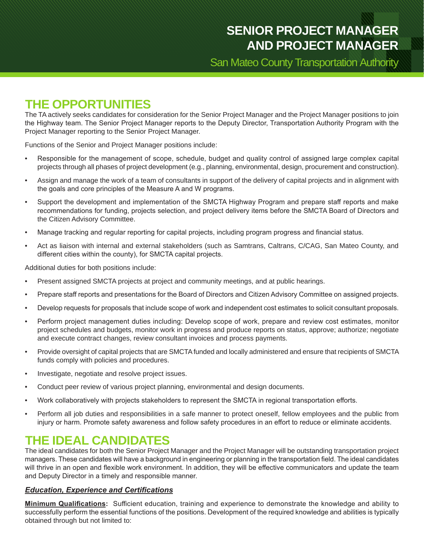### **SENIOR PROJECT MANAGER AND PROJECT MANAGER**

San Mateo County Transportation Authority

### **THE OPPORTUNITIES**

The TA actively seeks candidates for consideration for the Senior Project Manager and the Project Manager positions to join the Highway team. The Senior Project Manager reports to the Deputy Director, Transportation Authority Program with the Project Manager reporting to the Senior Project Manager.

Functions of the Senior and Project Manager positions include:

- Responsible for the management of scope, schedule, budget and quality control of assigned large complex capital projects through all phases of project development (e.g., planning, environmental, design, procurement and construction).
- Assign and manage the work of a team of consultants in support of the delivery of capital projects and in alignment with the goals and core principles of the Measure A and W programs.
- Support the development and implementation of the SMCTA Highway Program and prepare staff reports and make recommendations for funding, projects selection, and project delivery items before the SMCTA Board of Directors and the Citizen Advisory Committee.
- Manage tracking and regular reporting for capital projects, including program progress and financial status.
- Act as liaison with internal and external stakeholders (such as Samtrans, Caltrans, C/CAG, San Mateo County, and different cities within the county), for SMCTA capital projects.

Additional duties for both positions include:

- Present assigned SMCTA projects at project and community meetings, and at public hearings.
- Prepare staff reports and presentations for the Board of Directors and Citizen Advisory Committee on assigned projects.
- Develop requests for proposals that include scope of work and independent cost estimates to solicit consultant proposals.
- Perform project management duties including: Develop scope of work, prepare and review cost estimates, monitor project schedules and budgets, monitor work in progress and produce reports on status, approve; authorize; negotiate and execute contract changes, review consultant invoices and process payments.
- Provide oversight of capital projects that are SMCTA funded and locally administered and ensure that recipients of SMCTA funds comply with policies and procedures.
- Investigate, negotiate and resolve project issues.
- Conduct peer review of various project planning, environmental and design documents.
- Work collaboratively with projects stakeholders to represent the SMCTA in regional transportation efforts.
- Perform all job duties and responsibilities in a safe manner to protect oneself, fellow employees and the public from injury or harm. Promote safety awareness and follow safety procedures in an effort to reduce or eliminate accidents.

### **THE IDEAL CANDIDATES**

The ideal candidates for both the Senior Project Manager and the Project Manager will be outstanding transportation project managers. These candidates will have a background in engineering or planning in the transportation field. The ideal candidates will thrive in an open and flexible work environment. In addition, they will be effective communicators and update the team and Deputy Director in a timely and responsible manner.

#### *Education, Experience and Certifications*

**Minimum Qualifications:** Sufficient education, training and experience to demonstrate the knowledge and ability to successfully perform the essential functions of the positions. Development of the required knowledge and abilities is typically obtained through but not limited to: